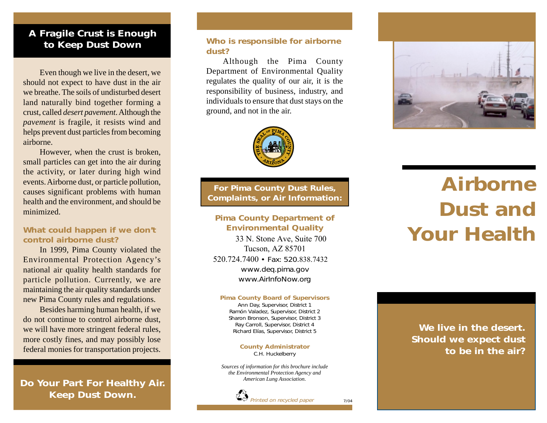#### *A Fragile Crust is Enough to Keep Dust Down*

Even though we live in the desert, we should not expect to have dust in the air we breathe. The soils of undisturbed desert land naturally bind together forming a crust, called *desert pavement*. Although the *pavemen<sup>t</sup>*is fragile, it resists wind and helps prevent dust particles from becoming airborne.

However, when the crust is broken, small particles can get into the air during the activity, or later during high wind events. Airborne dust, or particle pollution, causes significant problems with human health and the environment, and should be minimized.

#### *What could happen if we don't control airborne dust?*

In 1999, Pima County violated the Environmental Protection Agency's national air quality health standards for particle pollution. Currently, we are maintaining the air quality standards under new Pima County rules and regulations.

Besides harming human health, if we do not continue to control airborne dust, we will have more stringent federal rules, more costly fines, and may possibly lose federal monies for transportation projects.

*Do Your Part For Healthy Air. Keep Dust Down.*

#### *Who is responsible for airborne dust?*

Although the Pima County Department of Environmental Quality regulates the quality of our air, it is the responsibility of business, industry, and individuals to ensure that dust stays on the ground, and not in the air.



*For Pima County Dust Rules, Complaints, or Air Information:*

#### *Pima County Department of Environmental Quality*

33 N. Stone Ave, Suite 700 Tucson, AZ 85701 520.724.7400 *• Fax: 520.*838.7432 *www.deq.pima.gov www.AirInfoNow.org*

#### *Pima County Board of Supervisors*

*Ann Day, Supervisor, District 1 Ramón Valadez, Supervisor, District 2 Sharon Bronson, Supervisor, District 3 Ray Carroll, Supervisor, District 4 Richard Elías, Supervisor, District 5*

> *County Administrator C.H. Huckelberry*

*Sources of information for this brochure include the Environmental Protection Agency and American Lung Association.*



*7/04*



## *Airborne Dust and Your Health*

*We live in the desert. Should we expect dust to be in the air?*